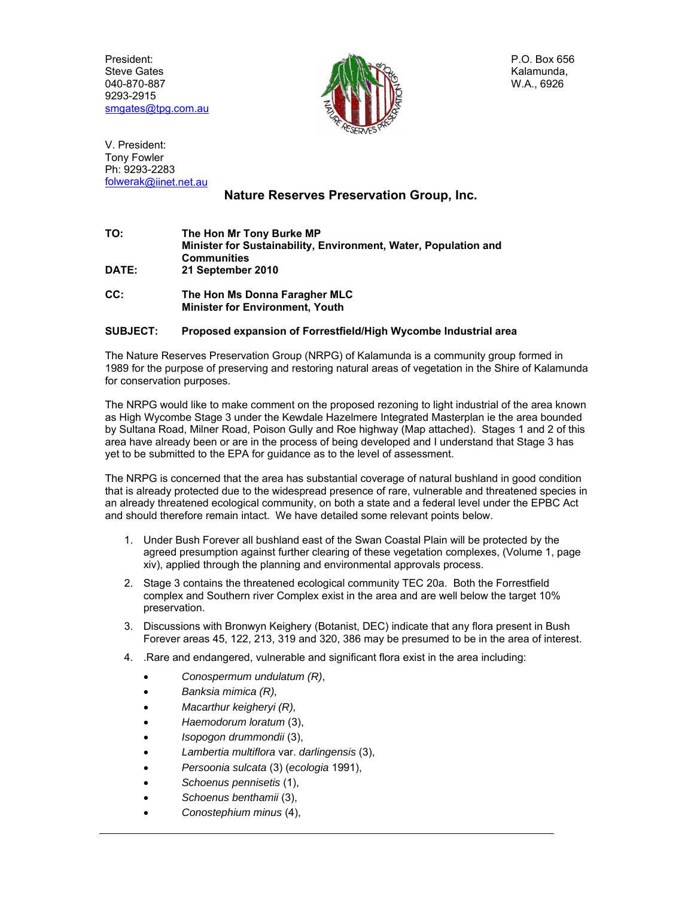President: Steve Gates 040-870-887 9293-2915 smgates@tpg.com.au



P.O. Box 656 Kalamunda, W.A., 6926

V. President: Tony Fowler Ph: 9293-2283 folwerak@iinet.net.au

## **Nature Reserves Preservation Group, Inc.**

- **TO: The Hon Mr Tony Burke MP Minister for Sustainability, Environment, Water, Population and Communities DATE: 21 September 2010**
- **CC: The Hon Ms Donna Faragher MLC Minister for Environment, Youth**

## **SUBJECT: Proposed expansion of Forrestfield/High Wycombe Industrial area**

The Nature Reserves Preservation Group (NRPG) of Kalamunda is a community group formed in 1989 for the purpose of preserving and restoring natural areas of vegetation in the Shire of Kalamunda for conservation purposes.

The NRPG would like to make comment on the proposed rezoning to light industrial of the area known as High Wycombe Stage 3 under the Kewdale Hazelmere Integrated Masterplan ie the area bounded by Sultana Road, Milner Road, Poison Gully and Roe highway (Map attached). Stages 1 and 2 of this area have already been or are in the process of being developed and I understand that Stage 3 has yet to be submitted to the EPA for guidance as to the level of assessment.

The NRPG is concerned that the area has substantial coverage of natural bushland in good condition that is already protected due to the widespread presence of rare, vulnerable and threatened species in an already threatened ecological community, on both a state and a federal level under the EPBC Act and should therefore remain intact. We have detailed some relevant points below.

- 1. Under Bush Forever all bushland east of the Swan Coastal Plain will be protected by the agreed presumption against further clearing of these vegetation complexes, (Volume 1, page xiv), applied through the planning and environmental approvals process.
- 2. Stage 3 contains the threatened ecological community TEC 20a. Both the Forrestfield complex and Southern river Complex exist in the area and are well below the target 10% preservation.
- 3. Discussions with Bronwyn Keighery (Botanist, DEC) indicate that any flora present in Bush Forever areas 45, 122, 213, 319 and 320, 386 may be presumed to be in the area of interest.
- 4. .Rare and endangered, vulnerable and significant flora exist in the area including:
	- *Conospermum undulatum (R)*,
	- *Banksia mimica (R),*
	- *Macarthur keigheryi (R),*
	- *Haemodorum loratum* (3),
	- *Isopogon drummondii* (3),
	- *Lambertia multiflora* var. *darlingensis* (3),
	- *Persoonia sulcata* (3) (*ecologia* 1991),
	- *Schoenus pennisetis* (1),
	- *Schoenus benthamii* (3),
	- *Conostephium minus* (4),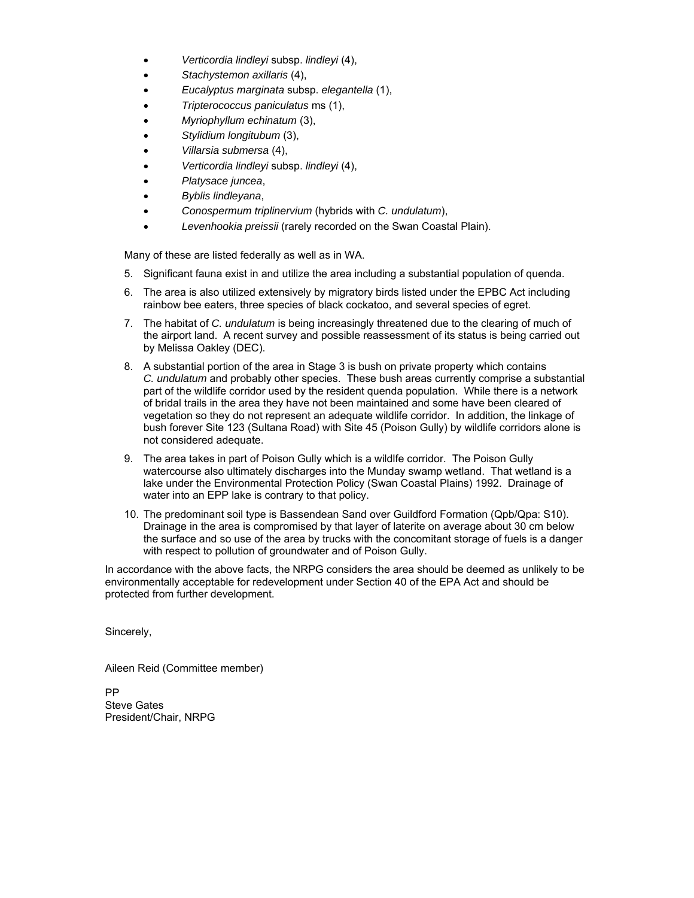- *Verticordia lindleyi* subsp. *lindleyi* (4),
- *Stachystemon axillaris* (4),
- *Eucalyptus marginata* subsp. *elegantella* (1),
- *Tripterococcus paniculatus* ms (1),
- *Myriophyllum echinatum* (3),
- *Stylidium longitubum* (3),
- *Villarsia submersa* (4),
- *Verticordia lindleyi* subsp. *lindleyi* (4),
- *Platysace juncea*,
- *Byblis lindleyana*,
- *Conospermum triplinervium* (hybrids with *C. undulatum*),
- *Levenhookia preissii* (rarely recorded on the Swan Coastal Plain).

Many of these are listed federally as well as in WA.

- 5. Significant fauna exist in and utilize the area including a substantial population of quenda.
- 6. The area is also utilized extensively by migratory birds listed under the EPBC Act including rainbow bee eaters, three species of black cockatoo, and several species of egret.
- 7. The habitat of *C. undulatum* is being increasingly threatened due to the clearing of much of the airport land. A recent survey and possible reassessment of its status is being carried out by Melissa Oakley (DEC).
- 8. A substantial portion of the area in Stage 3 is bush on private property which contains *C. undulatum* and probably other species. These bush areas currently comprise a substantial part of the wildlife corridor used by the resident quenda population. While there is a network of bridal trails in the area they have not been maintained and some have been cleared of vegetation so they do not represent an adequate wildlife corridor. In addition, the linkage of bush forever Site 123 (Sultana Road) with Site 45 (Poison Gully) by wildlife corridors alone is not considered adequate.
- 9. The area takes in part of Poison Gully which is a wildlfe corridor. The Poison Gully watercourse also ultimately discharges into the Munday swamp wetland. That wetland is a lake under the Environmental Protection Policy (Swan Coastal Plains) 1992. Drainage of water into an EPP lake is contrary to that policy.
- 10. The predominant soil type is Bassendean Sand over Guildford Formation (Qpb/Qpa: S10). Drainage in the area is compromised by that layer of laterite on average about 30 cm below the surface and so use of the area by trucks with the concomitant storage of fuels is a danger with respect to pollution of groundwater and of Poison Gully.

In accordance with the above facts, the NRPG considers the area should be deemed as unlikely to be environmentally acceptable for redevelopment under Section 40 of the EPA Act and should be protected from further development.

Sincerely,

Aileen Reid (Committee member)

PP Steve Gates President/Chair, NRPG